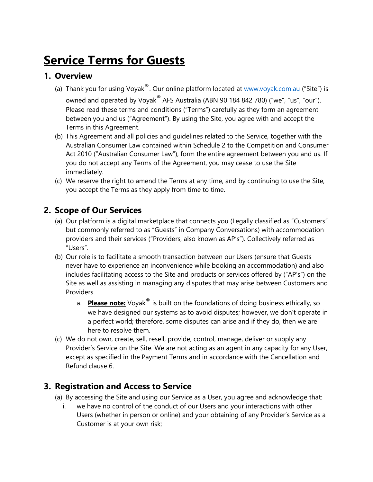# **Service Terms for Guests**

#### **1. Overview**

- (a) Thank you for using Voyak $^{\circledast}$ . Our online platform located at [www.voyak.com.au](http://www.voyak.com.au/) ("Site") is owned and operated by Voyak® AFS Australia (ABN 90 184 842 780) ("we", "us", "our"). Please read these terms and conditions ("Terms") carefully as they form an agreement between you and us ("Agreement"). By using the Site, you agree with and accept the Terms in this Agreement.
- (b) This Agreement and all policies and guidelines related to the Service, together with the Australian Consumer Law contained within Schedule 2 to the Competition and Consumer Act 2010 ("Australian Consumer Law"), form the entire agreement between you and us. If you do not accept any Terms of the Agreement, you may cease to use the Site immediately.
- (c) We reserve the right to amend the Terms at any time, and by continuing to use the Site, you accept the Terms as they apply from time to time.

# **2. Scope of Our Services**

- (a) Our platform is a digital marketplace that connects you (Legally classified as "Customers" but commonly referred to as "Guests" in Company Conversations) with accommodation providers and their services ("Providers, also known as AP's"). Collectively referred as "Users".
- (b) Our role is to facilitate a smooth transaction between our Users (ensure that Guests never have to experience an inconvenience while booking an accommodation) and also includes facilitating access to the Site and products or services offered by ("AP's") on the Site as well as assisting in managing any disputes that may arise between Customers and Providers.
	- a. **Please note:** Voyak<sup>®</sup> is built on the foundations of doing business ethically, so we have designed our systems as to avoid disputes; however, we don't operate in a perfect world; therefore, some disputes can arise and if they do, then we are here to resolve them.
- (c) We do not own, create, sell, resell, provide, control, manage, deliver or supply any Provider's Service on the Site. We are not acting as an agent in any capacity for any User, except as specified in the Payment Terms and in accordance with the Cancellation and Refund clause 6.

## **3. Registration and Access to Service**

- (a) By accessing the Site and using our Service as a User, you agree and acknowledge that:
	- i. we have no control of the conduct of our Users and your interactions with other Users (whether in person or online) and your obtaining of any Provider's Service as a Customer is at your own risk;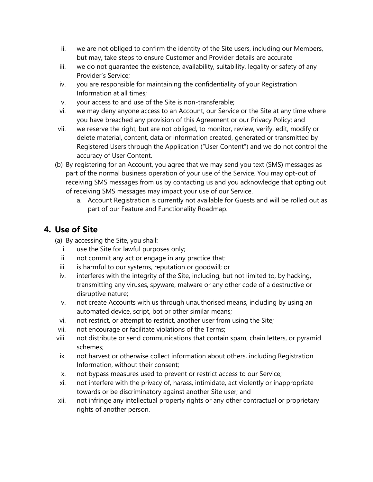- ii. we are not obliged to confirm the identity of the Site users, including our Members, but may, take steps to ensure Customer and Provider details are accurate
- iii. we do not quarantee the existence, availability, suitability, legality or safety of any Provider's Service;
- iv. you are responsible for maintaining the confidentiality of your Registration Information at all times;
- v. your access to and use of the Site is non-transferable;
- vi. we may deny anyone access to an Account, our Service or the Site at any time where you have breached any provision of this Agreement or our Privacy Policy; and
- vii. we reserve the right, but are not obliged, to monitor, review, verify, edit, modify or delete material, content, data or information created, generated or transmitted by Registered Users through the Application ("User Content") and we do not control the accuracy of User Content.
- (b) By registering for an Account, you agree that we may send you text (SMS) messages as part of the normal business operation of your use of the Service. You may opt-out of receiving SMS messages from us by contacting us and you acknowledge that opting out of receiving SMS messages may impact your use of our Service.
	- a. Account Registration is currently not available for Guests and will be rolled out as part of our Feature and Functionality Roadmap.

# **4. Use of Site**

- (a) By accessing the Site, you shall:
	- i. use the Site for lawful purposes only;
	- ii. not commit any act or engage in any practice that:
	- iii. is harmful to our systems, reputation or goodwill; or
	- iv. interferes with the integrity of the Site, including, but not limited to, by hacking, transmitting any viruses, spyware, malware or any other code of a destructive or disruptive nature;
	- v. not create Accounts with us through unauthorised means, including by using an automated device, script, bot or other similar means;
	- vi. not restrict, or attempt to restrict, another user from using the Site;
- vii. not encourage or facilitate violations of the Terms;
- viii. not distribute or send communications that contain spam, chain letters, or pyramid schemes;
- ix. not harvest or otherwise collect information about others, including Registration Information, without their consent;
- x. not bypass measures used to prevent or restrict access to our Service;
- xi. not interfere with the privacy of, harass, intimidate, act violently or inappropriate towards or be discriminatory against another Site user; and
- xii. not infringe any intellectual property rights or any other contractual or proprietary rights of another person.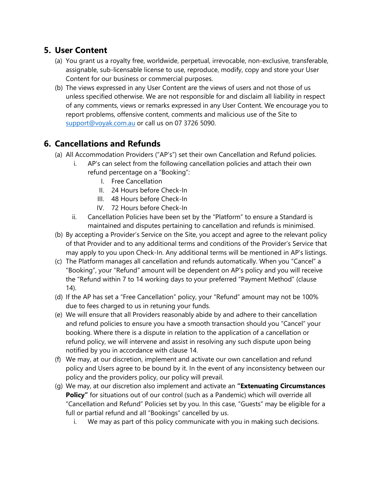## **5. User Content**

- (a) You grant us a royalty free, worldwide, perpetual, irrevocable, non-exclusive, transferable, assignable, sub-licensable license to use, reproduce, modify, copy and store your User Content for our business or commercial purposes.
- (b) The views expressed in any User Content are the views of users and not those of us unless specified otherwise. We are not responsible for and disclaim all liability in respect of any comments, views or remarks expressed in any User Content. We encourage you to report problems, offensive content, comments and malicious use of the Site to [support@voyak.com.au](mailto:support@voyak.com.au) or call us on 07 3726 5090.

# **6. Cancellations and Refunds**

- (a) All Accommodation Providers ("AP's") set their own Cancellation and Refund policies.
	- i. AP's can select from the following cancellation policies and attach their own refund percentage on a "Booking":
		- I. Free Cancellation
		- II. 24 Hours before Check-In
		- III. 48 Hours before Check-In
		- IV. 72 Hours before Check-In
	- ii. Cancellation Policies have been set by the "Platform" to ensure a Standard is maintained and disputes pertaining to cancellation and refunds is minimised.
- (b) By accepting a Provider's Service on the Site, you accept and agree to the relevant policy of that Provider and to any additional terms and conditions of the Provider's Service that may apply to you upon Check-In. Any additional terms will be mentioned in AP's listings.
- (c) The Platform manages all cancellation and refunds automatically. When you "Cancel" a "Booking", your "Refund" amount will be dependent on AP's policy and you will receive the "Refund within 7 to 14 working days to your preferred "Payment Method" (clause 14).
- (d) If the AP has set a "Free Cancellation" policy, your "Refund" amount may not be 100% due to fees charged to us in retuning your funds.
- (e) We will ensure that all Providers reasonably abide by and adhere to their cancellation and refund policies to ensure you have a smooth transaction should you "Cancel" your booking. Where there is a dispute in relation to the application of a cancellation or refund policy, we will intervene and assist in resolving any such dispute upon being notified by you in accordance with clause 14.
- (f) We may, at our discretion, implement and activate our own cancellation and refund policy and Users agree to be bound by it. In the event of any inconsistency between our policy and the providers policy, our policy will prevail.
- (g) We may, at our discretion also implement and activate an **"Extenuating Circumstances Policy"** for situations out of our control (such as a Pandemic) which will override all "Cancellation and Refund" Policies set by you. In this case, "Guests" may be eligible for a full or partial refund and all "Bookings" cancelled by us.
	- i. We may as part of this policy communicate with you in making such decisions.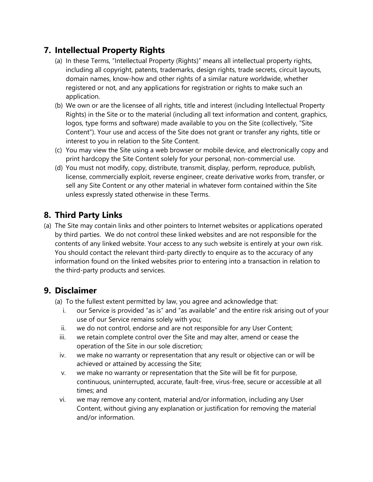## **7. Intellectual Property Rights**

- (a) In these Terms, "Intellectual Property (Rights)" means all intellectual property rights, including all copyright, patents, trademarks, design rights, trade secrets, circuit layouts, domain names, know-how and other rights of a similar nature worldwide, whether registered or not, and any applications for registration or rights to make such an application.
- (b) We own or are the licensee of all rights, title and interest (including Intellectual Property Rights) in the Site or to the material (including all text information and content, graphics, logos, type forms and software) made available to you on the Site (collectively, "Site Content"). Your use and access of the Site does not grant or transfer any rights, title or interest to you in relation to the Site Content.
- (c) You may view the Site using a web browser or mobile device, and electronically copy and print hardcopy the Site Content solely for your personal, non-commercial use.
- (d) You must not modify, copy, distribute, transmit, display, perform, reproduce, publish, license, commercially exploit, reverse engineer, create derivative works from, transfer, or sell any Site Content or any other material in whatever form contained within the Site unless expressly stated otherwise in these Terms.

# **8. Third Party Links**

(a) The Site may contain links and other pointers to Internet websites or applications operated by third parties. We do not control these linked websites and are not responsible for the contents of any linked website. Your access to any such website is entirely at your own risk. You should contact the relevant third-party directly to enquire as to the accuracy of any information found on the linked websites prior to entering into a transaction in relation to the third-party products and services.

## **9. Disclaimer**

- (a) To the fullest extent permitted by law, you agree and acknowledge that:
	- i. our Service is provided "as is" and "as available" and the entire risk arising out of your use of our Service remains solely with you;
	- ii. we do not control, endorse and are not responsible for any User Content;
	- iii. we retain complete control over the Site and may alter, amend or cease the operation of the Site in our sole discretion;
	- iv. we make no warranty or representation that any result or objective can or will be achieved or attained by accessing the Site;
	- v. we make no warranty or representation that the Site will be fit for purpose, continuous, uninterrupted, accurate, fault-free, virus-free, secure or accessible at all times; and
- vi. we may remove any content, material and/or information, including any User Content, without giving any explanation or justification for removing the material and/or information.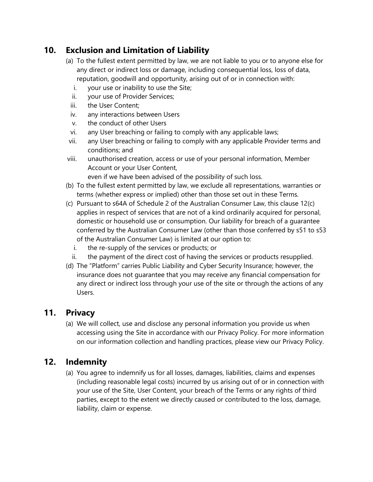## **10. Exclusion and Limitation of Liability**

- (a) To the fullest extent permitted by law, we are not liable to you or to anyone else for any direct or indirect loss or damage, including consequential loss, loss of data, reputation, goodwill and opportunity, arising out of or in connection with:
	- i. your use or inability to use the Site;
	- ii. your use of Provider Services;
	- iii. the User Content;
	- iv. any interactions between Users
	- v. the conduct of other Users
- vi. any User breaching or failing to comply with any applicable laws;
- vii. any User breaching or failing to comply with any applicable Provider terms and conditions; and
- viii. unauthorised creation, access or use of your personal information, Member Account or your User Content,

even if we have been advised of the possibility of such loss.

- (b) To the fullest extent permitted by law, we exclude all representations, warranties or terms (whether express or implied) other than those set out in these Terms.
- (c) Pursuant to s64A of Schedule 2 of the Australian Consumer Law, this clause 12(c) applies in respect of services that are not of a kind ordinarily acquired for personal, domestic or household use or consumption. Our liability for breach of a guarantee conferred by the Australian Consumer Law (other than those conferred by s51 to s53 of the Australian Consumer Law) is limited at our option to:
	- i. the re-supply of the services or products; or
	- ii. the payment of the direct cost of having the services or products resupplied.
- (d) The "Platform" carries Public Liability and Cyber Security Insurance; however, the insurance does not guarantee that you may receive any financial compensation for any direct or indirect loss through your use of the site or through the actions of any Users.

## **11. Privacy**

(a) We will collect, use and disclose any personal information you provide us when accessing using the Site in accordance with our Privacy Policy. For more information on our information collection and handling practices, please view our Privacy Policy.

# **12. Indemnity**

(a) You agree to indemnify us for all losses, damages, liabilities, claims and expenses (including reasonable legal costs) incurred by us arising out of or in connection with your use of the Site, User Content, your breach of the Terms or any rights of third parties, except to the extent we directly caused or contributed to the loss, damage, liability, claim or expense.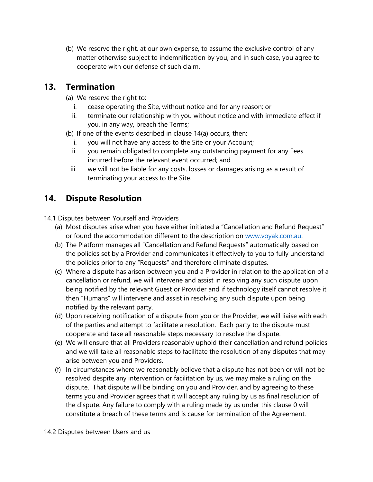(b) We reserve the right, at our own expense, to assume the exclusive control of any matter otherwise subject to indemnification by you, and in such case, you agree to cooperate with our defense of such claim.

#### **13. Termination**

- (a) We reserve the right to:
	- i. cease operating the Site, without notice and for any reason; or
	- ii. terminate our relationship with you without notice and with immediate effect if you, in any way, breach the Terms;
- (b) If one of the events described in clause 14(a) occurs, then:
	- i. you will not have any access to the Site or your Account;
	- ii. you remain obligated to complete any outstanding payment for any Fees incurred before the relevant event occurred; and
	- iii. we will not be liable for any costs, losses or damages arising as a result of terminating your access to the Site.

# <span id="page-5-0"></span>**14. Dispute Resolution**

- 14.1 Disputes between Yourself and Providers
	- (a) Most disputes arise when you have either initiated a "Cancellation and Refund Request" or found the accommodation different to the description on [www.voyak.com.au.](http://www.voyak.com.au/)
	- (b) The Platform manages all "Cancellation and Refund Requests" automatically based on the policies set by a Provider and communicates it effectively to you to fully understand the policies prior to any "Requests" and therefore eliminate disputes.
	- (c) Where a dispute has arisen between you and a Provider in relation to the application of a cancellation or refund, we will intervene and assist in resolving any such dispute upon being notified by the relevant Guest or Provider and if technology itself cannot resolve it then "Humans" will intervene and assist in resolving any such dispute upon being notified by the relevant party.
	- (d) Upon receiving notification of a dispute from you or the Provider, we will liaise with each of the parties and attempt to facilitate a resolution. Each party to the dispute must cooperate and take all reasonable steps necessary to resolve the dispute.
	- (e) We will ensure that all Providers reasonably uphold their cancellation and refund policies and we will take all reasonable steps to facilitate the resolution of any disputes that may arise between you and Providers.
	- (f) In circumstances where we reasonably believe that a dispute has not been or will not be resolved despite any intervention or facilitation by us, we may make a ruling on the dispute. That dispute will be binding on you and Provider, and by agreeing to these terms you and Provider agrees that it will accept any ruling by us as final resolution of the dispute. Any failure to comply with a ruling made by us under this clause [0](#page-5-0) will constitute a breach of these terms and is cause for termination of the Agreement.

#### 14.2 Disputes between Users and us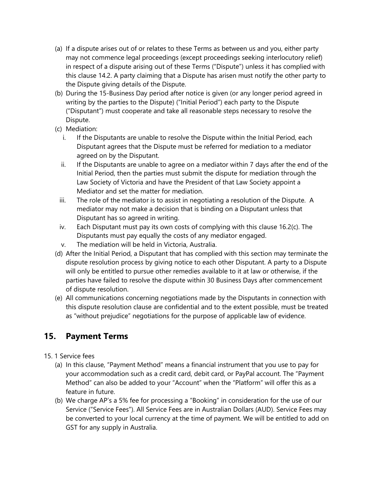- (a) If a dispute arises out of or relates to these Terms as between us and you, either party may not commence legal proceedings (except proceedings seeking interlocutory relief) in respect of a dispute arising out of these Terms ("Dispute") unless it has complied with this clause 14.2. A party claiming that a Dispute has arisen must notify the other party to the Dispute giving details of the Dispute.
- (b) During the 15-Business Day period after notice is given (or any longer period agreed in writing by the parties to the Dispute) ("Initial Period") each party to the Dispute ("Disputant") must cooperate and take all reasonable steps necessary to resolve the Dispute.
- (c) Mediation:
	- i. If the Disputants are unable to resolve the Dispute within the Initial Period, each Disputant agrees that the Dispute must be referred for mediation to a mediator agreed on by the Disputant.
	- ii. If the Disputants are unable to agree on a mediator within 7 days after the end of the Initial Period, then the parties must submit the dispute for mediation through the Law Society of Victoria and have the President of that Law Society appoint a Mediator and set the matter for mediation.
	- iii. The role of the mediator is to assist in negotiating a resolution of the Dispute. A mediator may not make a decision that is binding on a Disputant unless that Disputant has so agreed in writing.
	- iv. Each Disputant must pay its own costs of complying with this clause 16.2(c). The Disputants must pay equally the costs of any mediator engaged.
	- v. The mediation will be held in Victoria, Australia.
- (d) After the Initial Period, a Disputant that has complied with this section may terminate the dispute resolution process by giving notice to each other Disputant. A party to a Dispute will only be entitled to pursue other remedies available to it at law or otherwise, if the parties have failed to resolve the dispute within 30 Business Days after commencement of dispute resolution.
- (e) All communications concerning negotiations made by the Disputants in connection with this dispute resolution clause are confidential and to the extent possible, must be treated as "without prejudice" negotiations for the purpose of applicable law of evidence.

## **15. Payment Terms**

- 15. 1 Service fees
	- (a) In this clause, "Payment Method" means a financial instrument that you use to pay for your accommodation such as a credit card, debit card, or PayPal account. The "Payment Method" can also be added to your "Account" when the "Platform" will offer this as a feature in future.
	- (b) We charge AP's a 5% fee for processing a "Booking" in consideration for the use of our Service ("Service Fees"). All Service Fees are in Australian Dollars (AUD). Service Fees may be converted to your local currency at the time of payment. We will be entitled to add on GST for any supply in Australia.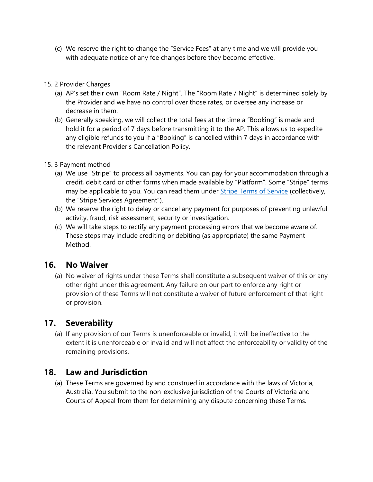(c) We reserve the right to change the "Service Fees" at any time and we will provide you with adequate notice of any fee changes before they become effective.

#### 15. 2 Provider Charges

- (a) AP's set their own "Room Rate / Night". The "Room Rate / Night" is determined solely by the Provider and we have no control over those rates, or oversee any increase or decrease in them.
- (b) Generally speaking, we will collect the total fees at the time a "Booking" is made and hold it for a period of 7 days before transmitting it to the AP. This allows us to expedite any eligible refunds to you if a "Booking" is cancelled within 7 days in accordance with the relevant Provider's Cancellation Policy.

#### 15. 3 Payment method

- (a) We use "Stripe" to process all payments. You can pay for your accommodation through a credit, debit card or other forms when made available by "Platform". Some "Stripe" terms may be applicable to you. You can read them under [Stripe Terms of Service](https://stripe.com/legal) (collectively, the "Stripe Services Agreement").
- (b) We reserve the right to delay or cancel any payment for purposes of preventing unlawful activity, fraud, risk assessment, security or investigation.
- (c) We will take steps to rectify any payment processing errors that we become aware of. These steps may include crediting or debiting (as appropriate) the same Payment Method.

#### **16. No Waiver**

(a) No waiver of rights under these Terms shall constitute a subsequent waiver of this or any other right under this agreement. Any failure on our part to enforce any right or provision of these Terms will not constitute a waiver of future enforcement of that right or provision.

## **17. Severability**

(a) If any provision of our Terms is unenforceable or invalid, it will be ineffective to the extent it is unenforceable or invalid and will not affect the enforceability or validity of the remaining provisions.

#### **18. Law and Jurisdiction**

(a) These Terms are governed by and construed in accordance with the laws of Victoria, Australia. You submit to the non-exclusive jurisdiction of the Courts of Victoria and Courts of Appeal from them for determining any dispute concerning these Terms.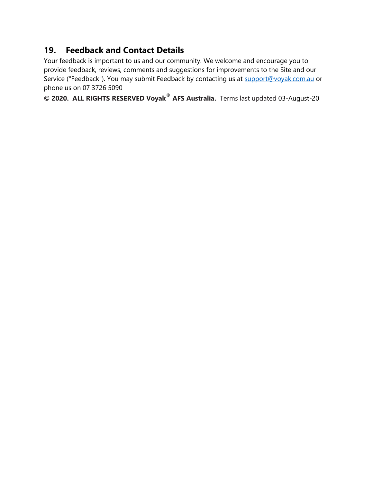# **19. Feedback and Contact Details**

Your feedback is important to us and our community. We welcome and encourage you to provide feedback, reviews, comments and suggestions for improvements to the Site and our Service ("Feedback"). You may submit Feedback by contacting us at [support@voyak.com.au](mailto:support@voyak.com.au) or phone us on 07 3726 5090

**© 2020. ALL RIGHTS RESERVED Voyak**® **AFS Australia.** Terms last updated 03-August-20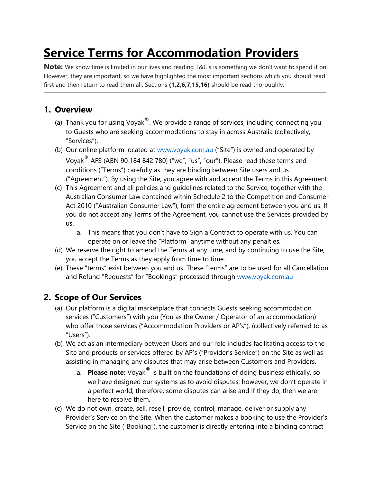# **Service Terms for Accommodation Providers**

**Note:** We know time is limited in our lives and reading T&C's is something we don't want to spend it on. However, they are important, so we have highlighted the most important sections which you should read first and then return to read them all. Sections **(1,2,6,7,15,16)** should be read thoroughly.

# **1. Overview**

- (a) Thank you for using Voyak $^{\circledast}$ . We provide a range of services, including connecting you to Guests who are seeking accommodations to stay in across Australia (collectively, "Services").
- (b) Our online platform located at [www.voyak.com.au](http://www.voyak.com.au/) ("Site") is owned and operated by Voyak® AFS (ABN 90 184 842 780) ("we", "us", "our"). Please read these terms and conditions ("Terms") carefully as they are binding between Site users and us ("Agreement"). By using the Site, you agree with and accept the Terms in this Agreement.
- (c) This Agreement and all policies and guidelines related to the Service, together with the Australian Consumer Law contained within Schedule 2 to the Competition and Consumer Act 2010 ("Australian Consumer Law"), form the entire agreement between you and us. If you do not accept any Terms of the Agreement, you cannot use the Services provided by us.
	- a. This means that you don't have to Sign a Contract to operate with us. You can operate on or leave the "Platform" anytime without any penalties.
- (d) We reserve the right to amend the Terms at any time, and by continuing to use the Site, you accept the Terms as they apply from time to time.
- (e) These "terms" exist between you and us. These "terms" are to be used for all Cancellation and Refund "Requests" for "Bookings" processed through www.voyak.com.au

## **2. Scope of Our Services**

- (a) Our platform is a digital marketplace that connects Guests seeking accommodation services ("Customers") with you (You as the Owner / Operator of an accommodation) who offer those services ("Accommodation Providers or AP's"), (collectively referred to as "Users").
- (b) We act as an intermediary between Users and our role includes facilitating access to the Site and products or services offered by AP's ("Provider's Service") on the Site as well as assisting in managing any disputes that may arise between Customers and Providers.
	- a. **Please note:** Voyak<sup>®</sup> is built on the foundations of doing business ethically, so we have designed our systems as to avoid disputes; however, we don't operate in a perfect world; therefore, some disputes can arise and if they do, then we are here to resolve them.
- (c) We do not own, create, sell, resell, provide, control, manage, deliver or supply any Provider's Service on the Site. When the customer makes a booking to use the Provider's Service on the Site ("Booking"), the customer is directly entering into a binding contract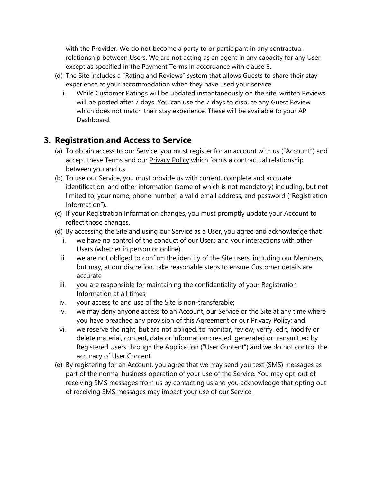with the Provider. We do not become a party to or participant in any contractual relationship between Users. We are not acting as an agent in any capacity for any User, except as specified in the Payment Terms in accordance with clause 6.

- (d) The Site includes a "Rating and Reviews" system that allows Guests to share their stay experience at your accommodation when they have used your service.
	- i. While Customer Ratings will be updated instantaneously on the site, written Reviews will be posted after 7 days. You can use the 7 days to dispute any Guest Review which does not match their stay experience. These will be available to your AP Dashboard.

## **3. Registration and Access to Service**

- (a) To obtain access to our Service, you must register for an account with us ("Account") and accept these Terms and our Privacy Policy which forms a contractual relationship between you and us.
- (b) To use our Service, you must provide us with current, complete and accurate identification, and other information (some of which is not mandatory) including, but not limited to, your name, phone number, a valid email address, and password ("Registration Information").
- (c) If your Registration Information changes, you must promptly update your Account to reflect those changes.
- (d) By accessing the Site and using our Service as a User, you agree and acknowledge that:
	- i. we have no control of the conduct of our Users and your interactions with other Users (whether in person or online).
	- ii. we are not obliged to confirm the identity of the Site users, including our Members, but may, at our discretion, take reasonable steps to ensure Customer details are accurate
	- iii. you are responsible for maintaining the confidentiality of your Registration Information at all times;
	- iv. your access to and use of the Site is non-transferable;
	- v. we may deny anyone access to an Account, our Service or the Site at any time where you have breached any provision of this Agreement or our Privacy Policy; and
- vi. we reserve the right, but are not obliged, to monitor, review, verify, edit, modify or delete material, content, data or information created, generated or transmitted by Registered Users through the Application ("User Content") and we do not control the accuracy of User Content.
- (e) By registering for an Account, you agree that we may send you text (SMS) messages as part of the normal business operation of your use of the Service. You may opt-out of receiving SMS messages from us by contacting us and you acknowledge that opting out of receiving SMS messages may impact your use of our Service.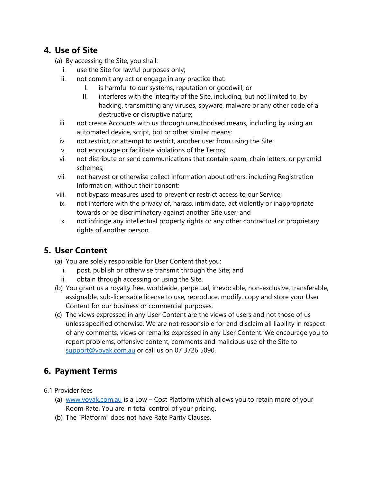## **4. Use of Site**

- (a) By accessing the Site, you shall:
	- i. use the Site for lawful purposes only;
	- ii. not commit any act or engage in any practice that:
		- I. is harmful to our systems, reputation or goodwill; or
		- II. interferes with the integrity of the Site, including, but not limited to, by hacking, transmitting any viruses, spyware, malware or any other code of a destructive or disruptive nature;
	- iii. not create Accounts with us through unauthorised means, including by using an automated device, script, bot or other similar means;
	- iv. not restrict, or attempt to restrict, another user from using the Site;
	- v. not encourage or facilitate violations of the Terms;
	- vi. not distribute or send communications that contain spam, chain letters, or pyramid schemes;
- vii. not harvest or otherwise collect information about others, including Registration Information, without their consent;
- viii. not bypass measures used to prevent or restrict access to our Service;
- ix. not interfere with the privacy of, harass, intimidate, act violently or inappropriate towards or be discriminatory against another Site user; and
- x. not infringe any intellectual property rights or any other contractual or proprietary rights of another person.

## **5. User Content**

- (a) You are solely responsible for User Content that you:
	- i. post, publish or otherwise transmit through the Site; and
	- ii. obtain through accessing or using the Site.
- (b) You grant us a royalty free, worldwide, perpetual, irrevocable, non-exclusive, transferable, assignable, sub-licensable license to use, reproduce, modify, copy and store your User Content for our business or commercial purposes.
- (c) The views expressed in any User Content are the views of users and not those of us unless specified otherwise. We are not responsible for and disclaim all liability in respect of any comments, views or remarks expressed in any User Content. We encourage you to report problems, offensive content, comments and malicious use of the Site to [support@voyak.com.au](mailto:support@voyak.com.au) or call us on 07 3726 5090.

# **6. Payment Terms**

- 6.1 Provider fees
	- (a) [www.voyak.com.au](http://www.voyak.com.au/) is a Low Cost Platform which allows you to retain more of your Room Rate. You are in total control of your pricing.
	- (b) The "Platform" does not have Rate Parity Clauses.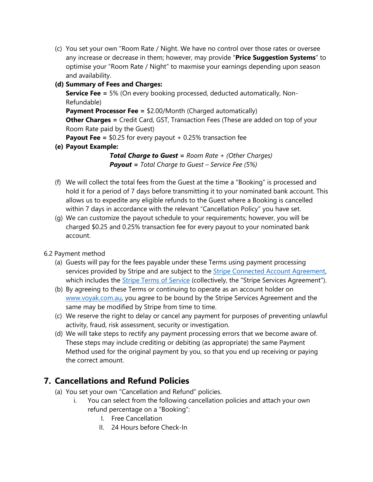(c) You set your own "Room Rate / Night. We have no control over those rates or oversee any increase or decrease in them; however, may provide "**Price Suggestion Systems**" to optimise your "Room Rate / Night" to maxmise your earnings depending upon season and availability.

#### **(d) Summary of Fees and Charges:**

**Service Fee =** 5% (On every booking processed, deducted automatically, Non-Refundable)

**Payment Processor Fee = \$2.00/Month (Charged automatically)** 

**Other Charges =** Credit Card, GST, Transaction Fees (These are added on top of your Room Rate paid by the Guest)

**Payout Fee =** \$0.25 for every payout + 0.25% transaction fee

**(e) Payout Example:**

*Total Charge to Guest = Room Rate + (Other Charges) Payout = Total Charge to Guest – Service Fee (5%)*

- (f) We will collect the total fees from the Guest at the time a "Booking" is processed and hold it for a period of 7 days before transmitting it to your nominated bank account. This allows us to expedite any eligible refunds to the Guest where a Booking is cancelled within 7 days in accordance with the relevant "Cancellation Policy" you have set.
- (g) We can customize the payout schedule to your requirements; however, you will be charged \$0.25 and 0.25% transaction fee for every payout to your nominated bank account.

6.2 Payment method

- (a) Guests will pay for the fees payable under these Terms using payment processing services provided by Stripe and are subject to the [Stripe Connected Account Agreement,](https://stripe.com/connect-account/legal) which includes the **[Stripe Terms of Service](https://stripe.com/legal)** (collectively, the "Stripe Services Agreement").
- (b) By agreeing to these Terms or continuing to operate as an account holder on [www.voyak.com.au,](http://www.voyak.com.au/) you agree to be bound by the Stripe Services Agreement and the same may be modified by Stripe from time to time.
- (c) We reserve the right to delay or cancel any payment for purposes of preventing unlawful activity, fraud, risk assessment, security or investigation.
- (d) We will take steps to rectify any payment processing errors that we become aware of. These steps may include crediting or debiting (as appropriate) the same Payment Method used for the original payment by you, so that you end up receiving or paying the correct amount.

# **7. Cancellations and Refund Policies**

- (a) You set your own "Cancellation and Refund" policies.
	- i. You can select from the following cancellation policies and attach your own refund percentage on a "Booking":
		- I. Free Cancellation
		- II. 24 Hours before Check-In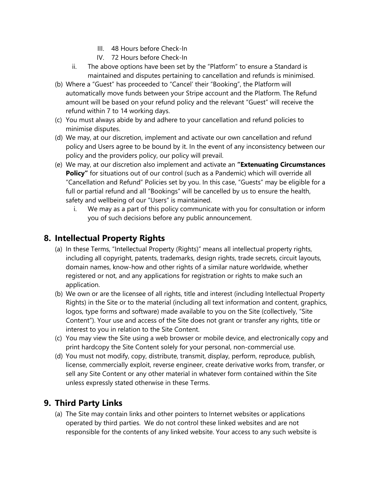- III. 48 Hours before Check-In
- IV. 72 Hours before Check-In
- ii. The above options have been set by the "Platform" to ensure a Standard is maintained and disputes pertaining to cancellation and refunds is minimised.
- (b) Where a "Guest" has proceeded to "Cancel' their "Booking", the Platform will automatically move funds between your Stripe account and the Platform. The Refund amount will be based on your refund policy and the relevant "Guest" will receive the refund within 7 to 14 working days.
- (c) You must always abide by and adhere to your cancellation and refund policies to minimise disputes.
- (d) We may, at our discretion, implement and activate our own cancellation and refund policy and Users agree to be bound by it. In the event of any inconsistency between our policy and the providers policy, our policy will prevail.
- (e) We may, at our discretion also implement and activate an **"Extenuating Circumstances**  Policy" for situations out of our control (such as a Pandemic) which will override all "Cancellation and Refund" Policies set by you. In this case, "Guests" may be eligible for a full or partial refund and all "Bookings" will be cancelled by us to ensure the health, safety and wellbeing of our "Users" is maintained.
	- i. We may as a part of this policy communicate with you for consultation or inform you of such decisions before any public announcement.

# **8. Intellectual Property Rights**

- (a) In these Terms, "Intellectual Property (Rights)" means all intellectual property rights, including all copyright, patents, trademarks, design rights, trade secrets, circuit layouts, domain names, know-how and other rights of a similar nature worldwide, whether registered or not, and any applications for registration or rights to make such an application.
- (b) We own or are the licensee of all rights, title and interest (including Intellectual Property Rights) in the Site or to the material (including all text information and content, graphics, logos, type forms and software) made available to you on the Site (collectively, "Site Content"). Your use and access of the Site does not grant or transfer any rights, title or interest to you in relation to the Site Content.
- (c) You may view the Site using a web browser or mobile device, and electronically copy and print hardcopy the Site Content solely for your personal, non-commercial use.
- (d) You must not modify, copy, distribute, transmit, display, perform, reproduce, publish, license, commercially exploit, reverse engineer, create derivative works from, transfer, or sell any Site Content or any other material in whatever form contained within the Site unless expressly stated otherwise in these Terms.

#### **9. Third Party Links**

(a) The Site may contain links and other pointers to Internet websites or applications operated by third parties. We do not control these linked websites and are not responsible for the contents of any linked website. Your access to any such website is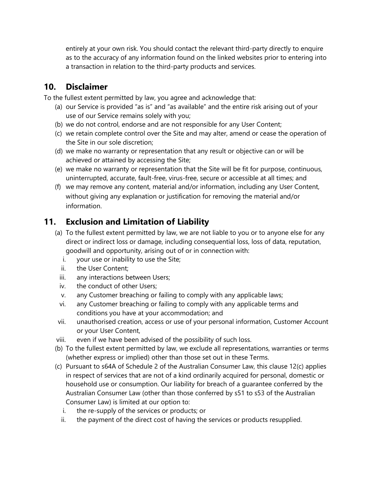entirely at your own risk. You should contact the relevant third-party directly to enquire as to the accuracy of any information found on the linked websites prior to entering into a transaction in relation to the third-party products and services.

## **10. Disclaimer**

To the fullest extent permitted by law, you agree and acknowledge that:

- (a) our Service is provided "as is" and "as available" and the entire risk arising out of your use of our Service remains solely with you;
- (b) we do not control, endorse and are not responsible for any User Content;
- (c) we retain complete control over the Site and may alter, amend or cease the operation of the Site in our sole discretion;
- (d) we make no warranty or representation that any result or objective can or will be achieved or attained by accessing the Site;
- (e) we make no warranty or representation that the Site will be fit for purpose, continuous, uninterrupted, accurate, fault-free, virus-free, secure or accessible at all times; and
- (f) we may remove any content, material and/or information, including any User Content, without giving any explanation or justification for removing the material and/or information.

# **11. Exclusion and Limitation of Liability**

- (a) To the fullest extent permitted by law, we are not liable to you or to anyone else for any direct or indirect loss or damage, including consequential loss, loss of data, reputation, goodwill and opportunity, arising out of or in connection with:
	- i. your use or inability to use the Site;
	- ii. the User Content;
	- iii. any interactions between Users;
	- iv. the conduct of other Users;
	- v. any Customer breaching or failing to comply with any applicable laws;
	- vi. any Customer breaching or failing to comply with any applicable terms and conditions you have at your accommodation; and
- vii. unauthorised creation, access or use of your personal information, Customer Account or your User Content,
- viii. even if we have been advised of the possibility of such loss.
- (b) To the fullest extent permitted by law, we exclude all representations, warranties or terms (whether express or implied) other than those set out in these Terms.
- (c) Pursuant to s64A of Schedule 2 of the Australian Consumer Law, this clause 12(c) applies in respect of services that are not of a kind ordinarily acquired for personal, domestic or household use or consumption. Our liability for breach of a guarantee conferred by the Australian Consumer Law (other than those conferred by s51 to s53 of the Australian Consumer Law) is limited at our option to:
	- i. the re-supply of the services or products; or
	- ii. the payment of the direct cost of having the services or products resupplied.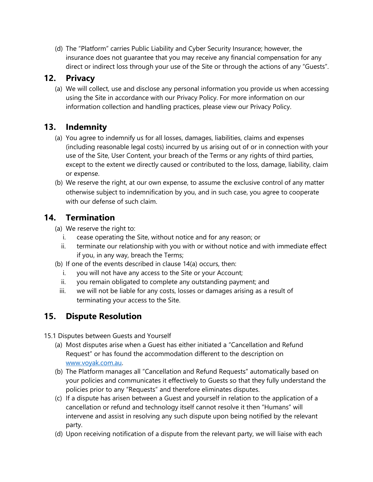(d) The "Platform" carries Public Liability and Cyber Security Insurance; however, the insurance does not guarantee that you may receive any financial compensation for any direct or indirect loss through your use of the Site or through the actions of any "Guests".

#### **12. Privacy**

(a) We will collect, use and disclose any personal information you provide us when accessing using the Site in accordance with our Privacy Policy. For more information on our information collection and handling practices, please view our Privacy Policy.

# **13. Indemnity**

- (a) You agree to indemnify us for all losses, damages, liabilities, claims and expenses (including reasonable legal costs) incurred by us arising out of or in connection with your use of the Site, User Content, your breach of the Terms or any rights of third parties, except to the extent we directly caused or contributed to the loss, damage, liability, claim or expense.
- (b) We reserve the right, at our own expense, to assume the exclusive control of any matter otherwise subject to indemnification by you, and in such case, you agree to cooperate with our defense of such claim.

#### **14. Termination**

- (a) We reserve the right to:
	- i. cease operating the Site, without notice and for any reason; or
	- ii. terminate our relationship with you with or without notice and with immediate effect if you, in any way, breach the Terms;
- (b) If one of the events described in clause 14(a) occurs, then:
	- i. you will not have any access to the Site or your Account;
	- ii. you remain obligated to complete any outstanding payment; and
	- iii. we will not be liable for any costs, losses or damages arising as a result of terminating your access to the Site.

# **15. Dispute Resolution**

15.1 Disputes between Guests and Yourself

- (a) Most disputes arise when a Guest has either initiated a "Cancellation and Refund Request" or has found the accommodation different to the description on [www.voyak.com.au.](http://www.voyak.com.au/)
- (b) The Platform manages all "Cancellation and Refund Requests" automatically based on your policies and communicates it effectively to Guests so that they fully understand the policies prior to any "Requests" and therefore eliminates disputes.
- (c) If a dispute has arisen between a Guest and yourself in relation to the application of a cancellation or refund and technology itself cannot resolve it then "Humans" will intervene and assist in resolving any such dispute upon being notified by the relevant party.
- (d) Upon receiving notification of a dispute from the relevant party, we will liaise with each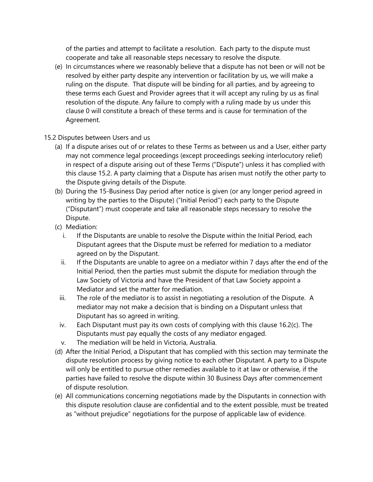of the parties and attempt to facilitate a resolution. Each party to the dispute must cooperate and take all reasonable steps necessary to resolve the dispute.

- (e) In circumstances where we reasonably believe that a dispute has not been or will not be resolved by either party despite any intervention or facilitation by us, we will make a ruling on the dispute. That dispute will be binding for all parties, and by agreeing to these terms each Guest and Provider agrees that it will accept any ruling by us as final resolution of the dispute. Any failure to comply with a ruling made by us under this clause [0](#page-5-0) will constitute a breach of these terms and is cause for termination of the Agreement.
- 15.2 Disputes between Users and us
	- (a) If a dispute arises out of or relates to these Terms as between us and a User, either party may not commence legal proceedings (except proceedings seeking interlocutory relief) in respect of a dispute arising out of these Terms ("Dispute") unless it has complied with this clause 15.2. A party claiming that a Dispute has arisen must notify the other party to the Dispute giving details of the Dispute.
	- (b) During the 15-Business Day period after notice is given (or any longer period agreed in writing by the parties to the Dispute) ("Initial Period") each party to the Dispute ("Disputant") must cooperate and take all reasonable steps necessary to resolve the Dispute.
	- (c) Mediation:
		- i. If the Disputants are unable to resolve the Dispute within the Initial Period, each Disputant agrees that the Dispute must be referred for mediation to a mediator agreed on by the Disputant.
		- ii. If the Disputants are unable to agree on a mediator within 7 days after the end of the Initial Period, then the parties must submit the dispute for mediation through the Law Society of Victoria and have the President of that Law Society appoint a Mediator and set the matter for mediation.
		- iii. The role of the mediator is to assist in negotiating a resolution of the Dispute. A mediator may not make a decision that is binding on a Disputant unless that Disputant has so agreed in writing.
		- iv. Each Disputant must pay its own costs of complying with this clause 16.2(c). The Disputants must pay equally the costs of any mediator engaged.
		- v. The mediation will be held in Victoria, Australia.
	- (d) After the Initial Period, a Disputant that has complied with this section may terminate the dispute resolution process by giving notice to each other Disputant. A party to a Dispute will only be entitled to pursue other remedies available to it at law or otherwise, if the parties have failed to resolve the dispute within 30 Business Days after commencement of dispute resolution.
	- (e) All communications concerning negotiations made by the Disputants in connection with this dispute resolution clause are confidential and to the extent possible, must be treated as "without prejudice" negotiations for the purpose of applicable law of evidence.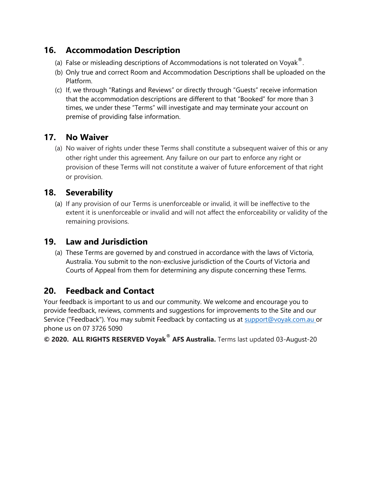# **16. Accommodation Description**

- (a) False or misleading descriptions of Accommodations is not tolerated on Voyak<sup>®</sup>.
- (b) Only true and correct Room and Accommodation Descriptions shall be uploaded on the Platform.
- (c) If, we through "Ratings and Reviews" or directly through "Guests" receive information that the accommodation descriptions are different to that "Booked" for more than 3 times, we under these "Terms" will investigate and may terminate your account on premise of providing false information.

#### **17. No Waiver**

(a) No waiver of rights under these Terms shall constitute a subsequent waiver of this or any other right under this agreement. Any failure on our part to enforce any right or provision of these Terms will not constitute a waiver of future enforcement of that right or provision.

#### **18. Severability**

(a) If any provision of our Terms is unenforceable or invalid, it will be ineffective to the extent it is unenforceable or invalid and will not affect the enforceability or validity of the remaining provisions.

#### **19. Law and Jurisdiction**

(a) These Terms are governed by and construed in accordance with the laws of Victoria, Australia. You submit to the non-exclusive jurisdiction of the Courts of Victoria and Courts of Appeal from them for determining any dispute concerning these Terms.

## **20. Feedback and Contact**

Your feedback is important to us and our community. We welcome and encourage you to provide feedback, reviews, comments and suggestions for improvements to the Site and our Service ("Feedback"). You may submit Feedback by contacting us at [support@voyak.com.au](mailto:support@voyak.com.au) or phone us on 07 3726 5090

**© 2020. ALL RIGHTS RESERVED Voyak**® **AFS Australia.** Terms last updated 03-August-20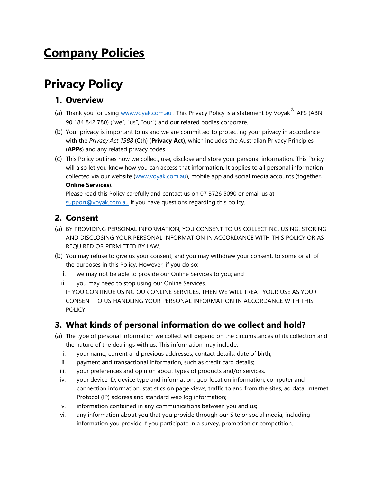# **Company Policies**

# **Privacy Policy**

#### **1. Overview**

- (a) Thank you for using [www.voyak.com.au](http://www.voyak.com.au/) . This Privacy Policy is a statement by Voyak<sup>®</sup> AFS (ABN 90 184 842 780) ("we", "us", "our") and our related bodies corporate.
- (b) Your privacy is important to us and we are committed to protecting your privacy in accordance with the *Privacy Act 1988* (Cth) (**Privacy Act**), which includes the Australian Privacy Principles (**APPs**) and any related privacy codes.
- (c) This Policy outlines how we collect, use, disclose and store your personal information. This Policy will also let you know how you can access that information. It applies to all personal information collected via our website [\(www.voyak.com.au\)](http://www.voyak.com.au/), mobile app and social media accounts (together, **Online Services**).

Please read this Policy carefully and contact us on 07 3726 5090 or email us at [support@voyak.com.au](mailto:support@voyak.com.au) if you have questions regarding this policy.

#### **2. Consent**

- (a) BY PROVIDING PERSONAL INFORMATION, YOU CONSENT TO US COLLECTING, USING, STORING AND DISCLOSING YOUR PERSONAL INFORMATION IN ACCORDANCE WITH THIS POLICY OR AS REQUIRED OR PERMITTED BY LAW.
- (b) You may refuse to give us your consent, and you may withdraw your consent, to some or all of the purposes in this Policy. However, if you do so:
	- i. we may not be able to provide our Online Services to you; and
	- ii. you may need to stop using our Online Services. IF YOU CONTINUE USING OUR ONLINE SERVICES, THEN WE WILL TREAT YOUR USE AS YOUR CONSENT TO US HANDLING YOUR PERSONAL INFORMATION IN ACCORDANCE WITH THIS POLICY.

# **3. What kinds of personal information do we collect and hold?**

- (a) The type of personal information we collect will depend on the circumstances of its collection and the nature of the dealings with us. This information may include:
	- i. your name, current and previous addresses, contact details, date of birth;
	- ii. payment and transactional information, such as credit card details;
	- iii. your preferences and opinion about types of products and/or services.
	- iv. your device ID, device type and information, geo-location information, computer and connection information, statistics on page views, traffic to and from the sites, ad data, Internet Protocol (IP) address and standard web log information;
	- v. information contained in any communications between you and us;
	- vi. any information about you that you provide through our Site or social media, including information you provide if you participate in a survey, promotion or competition.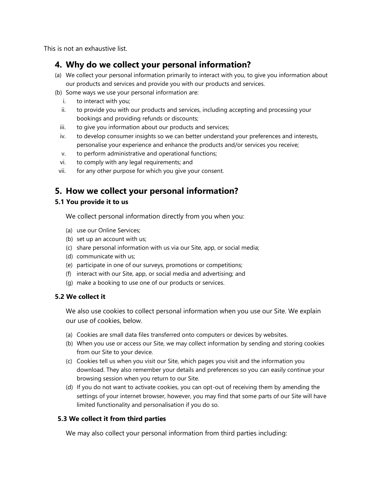This is not an exhaustive list.

#### **4. Why do we collect your personal information?**

- (a) We collect your personal information primarily to interact with you, to give you information about our products and services and provide you with our products and services.
- (b) Some ways we use your personal information are:
	- i. to interact with you;
	- ii. to provide you with our products and services, including accepting and processing your bookings and providing refunds or discounts;
	- iii. to give you information about our products and services;
	- iv. to develop consumer insights so we can better understand your preferences and interests, personalise your experience and enhance the products and/or services you receive;
	- v. to perform administrative and operational functions;
	- vi. to comply with any legal requirements; and
	- vii. for any other purpose for which you give your consent.

#### **5. How we collect your personal information?**

#### **5.1 You provide it to us**

We collect personal information directly from you when you:

- (a) use our Online Services;
- (b) set up an account with us;
- (c) share personal information with us via our Site, app, or social media;
- (d) communicate with us;
- (e) participate in one of our surveys, promotions or competitions;
- (f) interact with our Site, app, or social media and advertising; and
- (g) make a booking to use one of our products or services.

#### **5.2 We collect it**

We also use cookies to collect personal information when you use our Site. We explain our use of cookies, below.

- (a) Cookies are small data files transferred onto computers or devices by websites.
- (b) When you use or access our Site, we may collect information by sending and storing cookies from our Site to your device.
- (c) Cookies tell us when you visit our Site, which pages you visit and the information you download. They also remember your details and preferences so you can easily continue your browsing session when you return to our Site.
- (d) If you do not want to activate cookies, you can opt-out of receiving them by amending the settings of your internet browser, however, you may find that some parts of our Site will have limited functionality and personalisation if you do so.

#### **5.3 We collect it from third parties**

We may also collect your personal information from third parties including: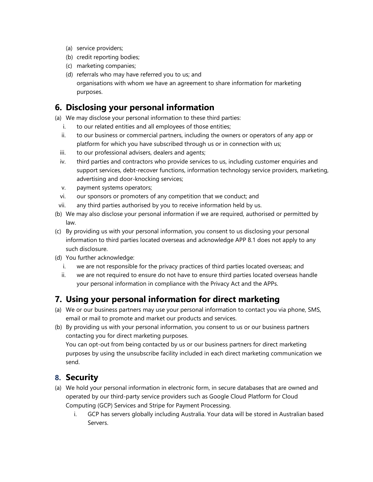- (a) service providers;
- (b) credit reporting bodies;
- (c) marketing companies;
- (d) referrals who may have referred you to us; and organisations with whom we have an agreement to share information for marketing purposes.

## **6. Disclosing your personal information**

- (a) We may disclose your personal information to these third parties:
	- i. to our related entities and all employees of those entities;
	- ii. to our business or commercial partners, including the owners or operators of any app or platform for which you have subscribed through us or in connection with us;
	- iii. to our professional advisers, dealers and agents;
	- iv. third parties and contractors who provide services to us, including customer enquiries and support services, debt-recover functions, information technology service providers, marketing, advertising and door-knocking services;
	- v. payment systems operators;
	- vi. our sponsors or promoters of any competition that we conduct; and
- vii. any third parties authorised by you to receive information held by us.
- (b) We may also disclose your personal information if we are required, authorised or permitted by law.
- (c) By providing us with your personal information, you consent to us disclosing your personal information to third parties located overseas and acknowledge APP 8.1 does not apply to any such disclosure.
- (d) You further acknowledge:
	- i. we are not responsible for the privacy practices of third parties located overseas; and
	- ii. we are not required to ensure do not have to ensure third parties located overseas handle your personal information in compliance with the Privacy Act and the APPs.

## **7. Using your personal information for direct marketing**

- (a) We or our business partners may use your personal information to contact you via phone, SMS, email or mail to promote and market our products and services.
- (b) By providing us with your personal information, you consent to us or our business partners contacting you for direct marketing purposes.

You can opt-out from being contacted by us or our business partners for direct marketing purposes by using the unsubscribe facility included in each direct marketing communication we send.

#### **8. Security**

- (a) We hold your personal information in electronic form, in secure databases that are owned and operated by our third-party service providers such as Google Cloud Platform for Cloud Computing (GCP) Services and Stripe for Payment Processing.
	- i. GCP has servers globally including Australia. Your data will be stored in Australian based Servers.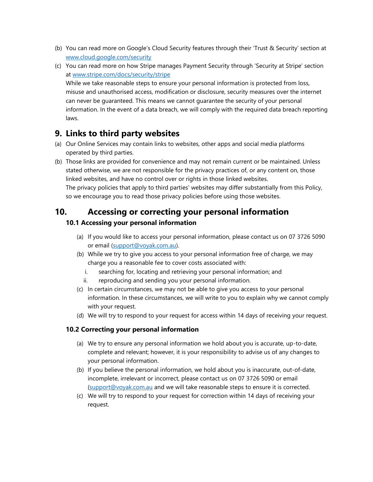- (b) You can read more on Google's Cloud Security features through their 'Trust & Security' section at [www.cloud.google.com/security](http://www.cloud.google.com/security)
- (c) You can read more on how Stripe manages Payment Security through 'Security at Stripe' section at [www.stripe.com/docs/security/stripe](http://www.stripe.com/docs/security/stripe)

While we take reasonable steps to ensure your personal information is protected from loss, misuse and unauthorised access, modification or disclosure, security measures over the internet can never be guaranteed. This means we cannot guarantee the security of your personal information. In the event of a data breach, we will comply with the required data breach reporting laws.

#### **9. Links to third party websites**

- (a) Our Online Services may contain links to websites, other apps and social media platforms operated by third parties.
- (b) Those links are provided for convenience and may not remain current or be maintained. Unless stated otherwise, we are not responsible for the privacy practices of, or any content on, those linked websites, and have no control over or rights in those linked websites. The privacy policies that apply to third parties' websites may differ substantially from this Policy, so we encourage you to read those privacy policies before using those websites.

#### **10. Accessing or correcting your personal information**

#### **10.1 Accessing your personal information**

- (a) If you would like to access your personal information, please contact us on 07 3726 5090 or email [\(support@voyak.com.au\)](mailto:support@voyak.com.au).
- (b) While we try to give you access to your personal information free of charge, we may charge you a reasonable fee to cover costs associated with:
	- i. searching for, locating and retrieving your personal information; and
	- ii. reproducing and sending you your personal information.
- (c) In certain circumstances, we may not be able to give you access to your personal information. In these circumstances, we will write to you to explain why we cannot comply with your request.
- (d) We will try to respond to your request for access within 14 days of receiving your request.

#### **10.2 Correcting your personal information**

- (a) We try to ensure any personal information we hold about you is accurate, up-to-date, complete and relevant; however, it is your responsibility to advise us of any changes to your personal information.
- (b) If you believe the personal information, we hold about you is inaccurate, out-of-date, incomplete, irrelevant or incorrect, please contact us on 07 3726 5090 or email [\(support@voyak.com.au](mailto:support@voyak.com.au) and we will take reasonable steps to ensure it is corrected.
- (c) We will try to respond to your request for correction within 14 days of receiving your request.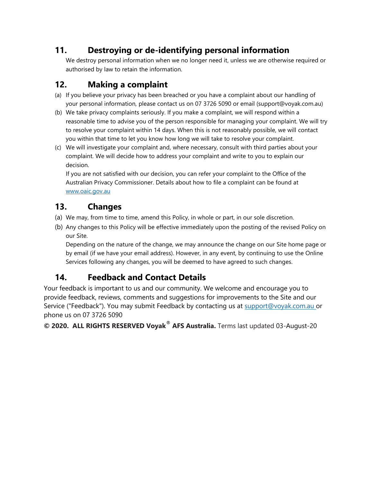# **11. Destroying or de-identifying personal information**

We destroy personal information when we no longer need it, unless we are otherwise required or authorised by law to retain the information.

# **12. Making a complaint**

- (a) If you believe your privacy has been breached or you have a complaint about our handling of your personal information, please contact us on 07 3726 5090 or email (support@voyak.com.au)
- (b) We take privacy complaints seriously. If you make a complaint, we will respond within a reasonable time to advise you of the person responsible for managing your complaint. We will try to resolve your complaint within 14 days. When this is not reasonably possible, we will contact you within that time to let you know how long we will take to resolve your complaint.
- (c) We will investigate your complaint and, where necessary, consult with third parties about your complaint. We will decide how to address your complaint and write to you to explain our decision.

If you are not satisfied with our decision, you can refer your complaint to the Office of the Australian Privacy Commissioner. Details about how to file a complaint can be found at [www.oaic.gov.au](http://www.oaic.gov.au/)

# **13. Changes**

- (a) We may, from time to time, amend this Policy, in whole or part, in our sole discretion.
- (b) Any changes to this Policy will be effective immediately upon the posting of the revised Policy on our Site.

Depending on the nature of the change, we may announce the change on our Site home page or by email (if we have your email address). However, in any event, by continuing to use the Online Services following any changes, you will be deemed to have agreed to such changes.

# **14. Feedback and Contact Details**

Your feedback is important to us and our community. We welcome and encourage you to provide feedback, reviews, comments and suggestions for improvements to the Site and our Service ("Feedback"). You may submit Feedback by contacting us at [support@voyak.com.au](mailto:support@voyak.com.au) or phone us on 07 3726 5090

**© 2020. ALL RIGHTS RESERVED Voyak**® **AFS Australia.** Terms last updated 03-August-20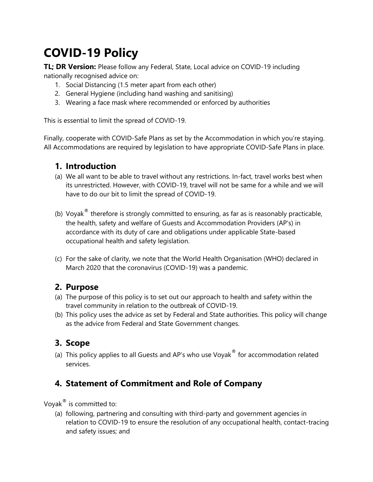# **COVID-19 Policy**

**TL; DR Version:** Please follow any Federal, State, Local advice on COVID-19 including nationally recognised advice on:

- 1. Social Distancing (1.5 meter apart from each other)
- 2. General Hygiene (including hand washing and sanitising)
- 3. Wearing a face mask where recommended or enforced by authorities

This is essential to limit the spread of COVID-19.

Finally, cooperate with COVID-Safe Plans as set by the Accommodation in which you're staying. All Accommodations are required by legislation to have appropriate COVID-Safe Plans in place.

#### **1. Introduction**

- (a) We all want to be able to travel without any restrictions. In-fact, travel works best when its unrestricted. However, with COVID-19, travel will not be same for a while and we will have to do our bit to limit the spread of COVID-19.
- (b) Voyak $^{\circ}$  therefore is strongly committed to ensuring, as far as is reasonably practicable, the health, safety and welfare of Guests and Accommodation Providers (AP's) in accordance with its duty of care and obligations under applicable State-based occupational health and safety legislation.
- (c) For the sake of clarity, we note that the World Health Organisation (WHO) declared in March 2020 that the coronavirus (COVID-19) was a pandemic.

#### **2. Purpose**

- (a) The purpose of this policy is to set out our approach to health and safety within the travel community in relation to the outbreak of COVID-19.
- (b) This policy uses the advice as set by Federal and State authorities. This policy will change as the advice from Federal and State Government changes.

## **3. Scope**

(a) This policy applies to all Guests and AP's who use Voyak $^{\circ}$  for accommodation related services.

## **4. Statement of Commitment and Role of Company**

Voyak® is committed to:

(a) following, partnering and consulting with third-party and government agencies in relation to COVID-19 to ensure the resolution of any occupational health, contact-tracing and safety issues; and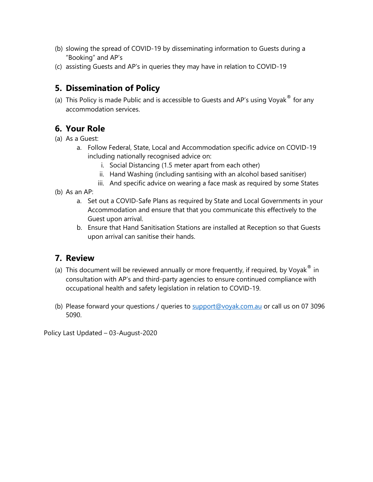- (b) slowing the spread of COVID-19 by disseminating information to Guests during a "Booking" and AP's
- (c) assisting Guests and AP's in queries they may have in relation to COVID-19

## **5. Dissemination of Policy**

(a) This Policy is made Public and is accessible to Guests and AP's using Voyak $^{\circledast}$  for any accommodation services.

# **6. Your Role**

- (a) As a Guest:
	- a. Follow Federal, State, Local and Accommodation specific advice on COVID-19 including nationally recognised advice on:
		- i. Social Distancing (1.5 meter apart from each other)
		- ii. Hand Washing (including santising with an alcohol based sanitiser)
		- iii. And specific advice on wearing a face mask as required by some States
- (b) As an AP:
	- a. Set out a COVID-Safe Plans as required by State and Local Governments in your Accommodation and ensure that that you communicate this effectively to the Guest upon arrival.
	- b. Ensure that Hand Sanitisation Stations are installed at Reception so that Guests upon arrival can sanitise their hands.

## **7. Review**

- (a) This document will be reviewed annually or more frequently, if required, by Voyak $^{\circledast}$  in consultation with AP's and third-party agencies to ensure continued compliance with occupational health and safety legislation in relation to COVID-19.
- (b) Please forward your questions / queries to [support@voyak.com.au](mailto:support@voyak.com.au) or call us on 07 3096 5090.

Policy Last Updated – 03-August-2020